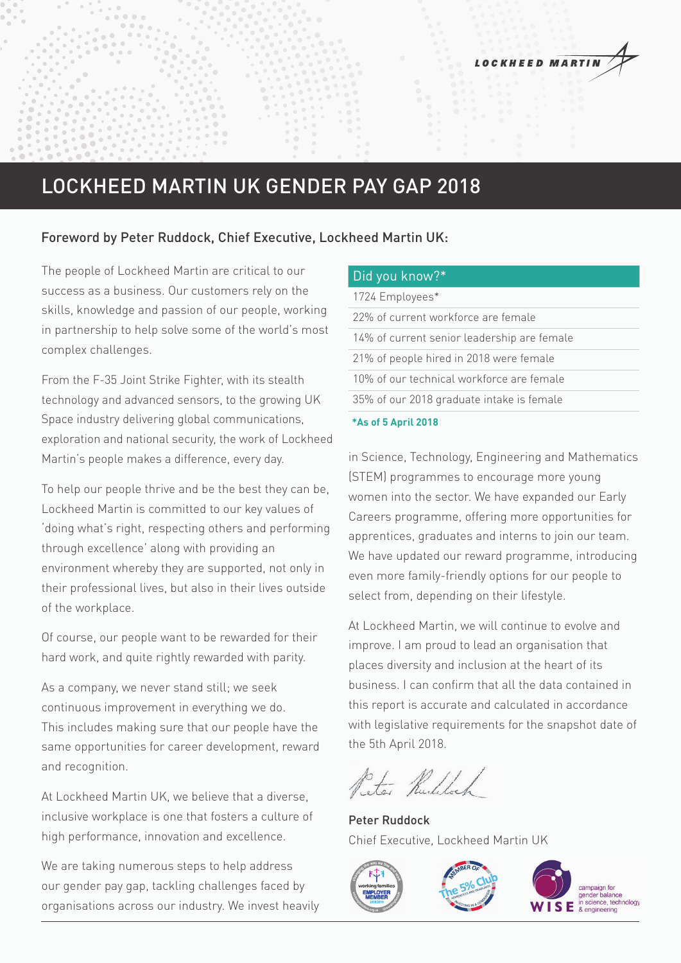# LOCKHEED MARTIN UK GENDER PAY GAP 2018

### Foreword by Peter Ruddock, Chief Executive, Lockheed Martin UK:

The people of Lockheed Martin are critical to our success as a business. Our customers rely on the skills, knowledge and passion of our people, working in partnership to help solve some of the world's most complex challenges.

From the F-35 Joint Strike Fighter, with its stealth technology and advanced sensors, to the growing UK Space industry delivering global communications, exploration and national security, the work of Lockheed Martin's people makes a difference, every day.

To help our people thrive and be the best they can be, Lockheed Martin is committed to our key values of 'doing what's right, respecting others and performing through excellence' along with providing an environment whereby they are supported, not only in their professional lives, but also in their lives outside of the workplace.

Of course, our people want to be rewarded for their hard work, and quite rightly rewarded with parity.

As a company, we never stand still; we seek continuous improvement in everything we do. This includes making sure that our people have the same opportunities for career development, reward and recognition.

At Lockheed Martin UK, we believe that a diverse, inclusive workplace is one that fosters a culture of high performance, innovation and excellence.

We are taking numerous steps to help address our gender pay gap, tackling challenges faced by organisations across our industry. We invest heavily

#### Did you know?\*

|  | 1724 Employees* |
|--|-----------------|
|--|-----------------|

|  | 35% of our 2018 graduate intake is female   |  |
|--|---------------------------------------------|--|
|  | 10% of our technical workforce are female   |  |
|  | 21% of people hired in 2018 were female     |  |
|  | 14% of current senior leadership are female |  |
|  | 22% of current workforce are female         |  |

#### **\*As of 5 April 2018**

in Science, Technology, Engineering and Mathematics (STEM) programmes to encourage more young women into the sector. We have expanded our Early Careers programme, offering more opportunities for apprentices, graduates and interns to join our team. We have updated our reward programme, introducing even more family-friendly options for our people to select from, depending on their lifestyle.

At Lockheed Martin, we will continue to evolve and improve. I am proud to lead an organisation that places diversity and inclusion at the heart of its business. I can confirm that all the data contained in this report is accurate and calculated in accordance with legislative requirements for the snapshot date of the 5th April 2018.

Ster Ruddoch

Peter Ruddock Chief Executive, Lockheed Martin UK